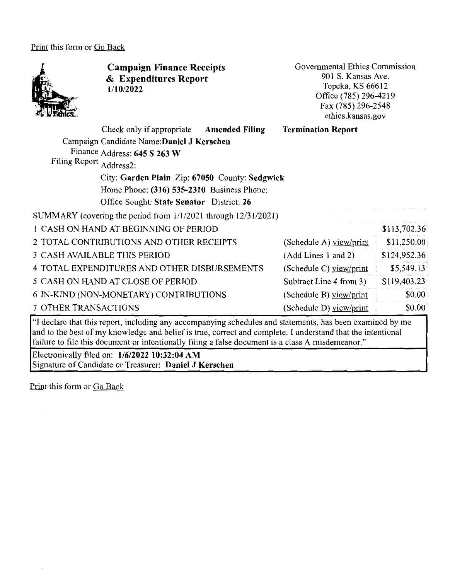#### Print this form or Go Back



**Campaign Finance Receipts**  & **Expenditures Report 1/10/2022** 

Governmental Ethics Commission 901 S. Kansas Ave. Topeka, KS 66612 Office (785) 296-4219 Fax (785) 296-2548 ethics.kansas.gov

| Check only if appropriate<br><b>Amended Filing</b><br>Campaign Candidate Name: Daniel J Kerschen<br>Finance Address: 645 S 263 W<br>Filing Report Address2: | <b>Termination Report</b> |              |
|-------------------------------------------------------------------------------------------------------------------------------------------------------------|---------------------------|--------------|
| City: Garden Plain Zip: 67050 County: Sedgwick                                                                                                              |                           |              |
| Home Phone: (316) 535-2310 Business Phone:                                                                                                                  |                           |              |
| Office Sought: State Senator District: 26                                                                                                                   |                           |              |
| SUMMARY (covering the period from 1/1/2021 through 12/31/2021)                                                                                              |                           |              |
| 1 CASH ON HAND AT BEGINNING OF PERIOD                                                                                                                       |                           | \$113,702.36 |
| 2 TOTAL CONTRIBUTIONS AND OTHER RECEIPTS                                                                                                                    | (Schedule A) view/print   | \$11,250.00  |
| 3 CASH AVAILABLE THIS PERIOD                                                                                                                                | (Add Lines 1 and 2)       | \$124,952.36 |
| 4 TOTAL EXPENDITURES AND OTHER DISBURSEMENTS                                                                                                                | (Schedule C) view/print   | \$5,549.13   |
| 5 CASH ON HAND AT CLOSE OF PERIOD                                                                                                                           | Subtract Line 4 from 3)   | \$119,403.23 |
| 6 IN-KIND (NON-MONETARY) CONTRIBUTIONS                                                                                                                      | (Schedule B) view/print   | \$0.00       |
| 7 OTHER TRANSACTIONS                                                                                                                                        | (Schedule D) view/print   | \$0.00       |

''I declare that this report, including any accompanying schedules and statements, has been examined by me and to the best of my knowledge and belief is true, correct and complete. I understand that the intentional failure to file this document or intentionally filing a false document is a class A misdemeanor."

Electronically filed on: **1/6/2022 10:32:04 AM**  Signature of Candidate or Treasurer: **Daniel J Kerschen** 

Print this form or Go Back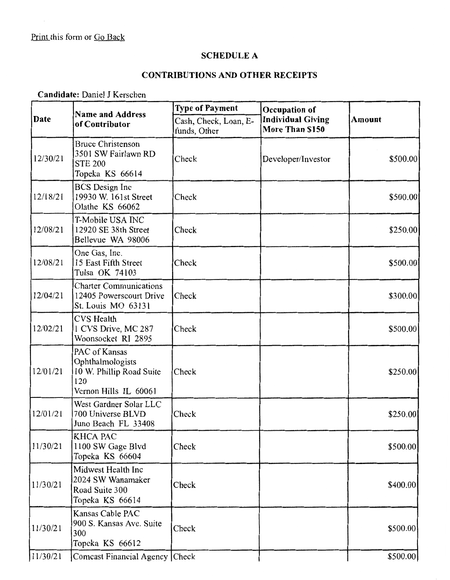### **SCHEDULE A**

# **CONTRIBUTIONS AND OTHER RECEIPTS**

**Candidate:** Daniel J Kerschen

| Date     | <b>Name and Address</b><br>of Contributor                                                     | <b>Type of Payment</b>                | Occupation of                               |               |  |
|----------|-----------------------------------------------------------------------------------------------|---------------------------------------|---------------------------------------------|---------------|--|
|          |                                                                                               | Cash, Check, Loan, E-<br>funds, Other | <b>Individual Giving</b><br>More Than \$150 | <b>Amount</b> |  |
| 12/30/21 | <b>Bruce Christenson</b><br>3501 SW Fairlawn RD<br><b>STE 200</b><br>Topeka KS 66614          | Check                                 | Developer/Investor                          | \$500.00      |  |
| 12/18/21 | <b>BCS</b> Design Inc<br>19930 W. 161st Street<br>Olathe KS 66062                             | Check                                 |                                             | \$500.00      |  |
| 12/08/21 | T-Mobile USA INC<br>12920 SE 38th Street<br>Bellevue WA 98006                                 | Check                                 |                                             | \$250.00      |  |
| 12/08/21 | One Gas, Inc.<br>15 East Fifth Street<br>Tulsa OK 74103                                       | Check                                 |                                             | \$500.00      |  |
| 12/04/21 | <b>Charter Communications</b><br>12405 Powerscourt Drive<br>St. Louis MO 63131                | Check                                 |                                             | \$300.00      |  |
| 12/02/21 | <b>CVS</b> Health<br>1 CVS Drive, MC 287<br>Woonsocket RI 2895                                | Check                                 |                                             | \$500.00      |  |
| 12/01/21 | PAC of Kansas<br>Ophthalmologists<br>10 W. Phillip Road Suite<br>120<br>Vernon Hills IL 60061 | Check                                 |                                             | \$250.00      |  |
| 12/01/21 | West Gardner Solar LLC<br>700 Universe BLVD<br>Juno Beach FL 33408                            | Check                                 |                                             | \$250.00      |  |
| 11/30/21 | <b>KHCA PAC</b><br>1100 SW Gage Blvd<br>Topeka KS 66604                                       | Check                                 |                                             | \$500.00      |  |
| 11/30/21 | Midwest Health Inc<br>2024 SW Wanamaker<br>Road Suite 300<br>Topeka KS 66614                  | Check                                 |                                             | \$400.00      |  |
| 11/30/21 | Kansas Cable PAC<br>900 S. Kansas Ave. Suite<br>300<br>Topeka KS 66612                        | Check                                 |                                             | \$500.00      |  |
| 11/30/21 | Comcast Financial Agency Check                                                                |                                       |                                             | \$500.00      |  |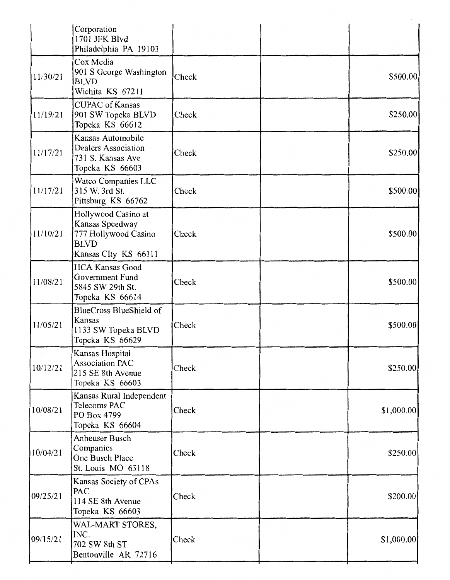|          | Corporation<br>1701 JFK Blvd<br>Philadelphia PA 19103                                                 |       |            |
|----------|-------------------------------------------------------------------------------------------------------|-------|------------|
| 11/30/21 | Cox Media<br>901 S George Washington<br><b>BLVD</b><br>Wichita KS 67211                               | Check | \$500.00   |
| 11/19/21 | <b>CUPAC</b> of Kansas<br>901 SW Topeka BLVD<br>Topeka KS 66612                                       | Check | \$250.00   |
| 11/17/21 | Kansas Automobile<br>Dealers Association<br>731 S. Kansas Ave<br>Topeka KS 66603                      | Check | \$250.00   |
| 11/17/21 | Watco Companies LLC<br>315 W. 3rd St.<br>Pittsburg KS 66762                                           | Check | \$500.00   |
| 11/10/21 | Hollywood Casino at<br>Kansas Speedway<br>777 Hollywood Casino<br><b>BLVD</b><br>Kansas CIty KS 66111 | Check | \$500.00   |
| 11/08/21 | <b>HCA Kansas Good</b><br>Government Fund<br>5845 SW 29th St.<br>Topeka KS 66614                      | Check | \$500.00   |
| 11/05/21 | BlueCross BlueShield of<br>Kansas<br>1133 SW Topeka BLVD<br>Topeka KS 66629                           | Check | \$500.00   |
| 10/12/21 | Kansas Hospital<br><b>Association PAC</b><br>215 SE 8th Avenue<br>Topeka KS 66603                     | Check | \$250.00   |
| 10/08/21 | Kansas Rural Independent<br>Telecoms PAC<br>PO Box 4799<br>Topeka KS 66604                            | Check | \$1,000.00 |
| 10/04/21 | Anheuser Busch<br>Companies<br>One Busch Place<br>St. Louis MO 63118                                  | Check | \$250.00   |
| 09/25/21 | Kansas Society of CPAs<br>PAC<br>114 SE 8th Avenue<br>Topeka KS 66603                                 | Check | \$200.00   |
| 09/15/21 | WAL-MART STORES,<br>INC.<br>702 SW 8th ST<br>Bentonville AR 72716                                     | Check | \$1,000.00 |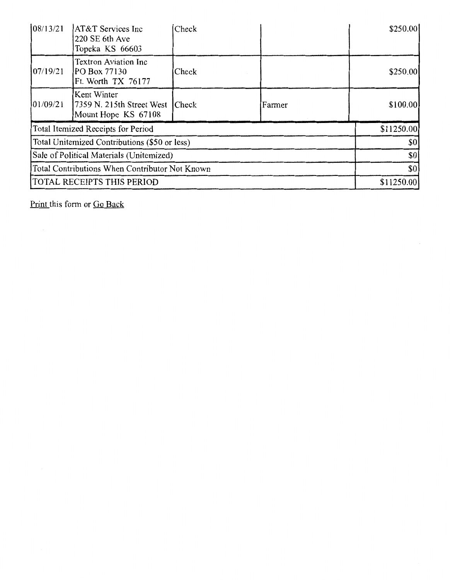| 08/13/21                                       | <b>AT&amp;T</b> Services Inc<br>220 SE 6th Ave<br>Topeka KS 66603 | Check        |            | \$250.00  |
|------------------------------------------------|-------------------------------------------------------------------|--------------|------------|-----------|
| 107/19/21                                      | <b>Textron Aviation Inc</b><br>PO Box 77130<br>Ft. Worth TX 76177 | Check        |            | \$250.00  |
| 01/09/21                                       | Kent Winter<br>7359 N. 215th Street West<br>Mount Hope KS 67108   | <b>Check</b> | Farmer     | \$100.00] |
| Total Itemized Receipts for Period             |                                                                   |              | \$11250.00 |           |
| Total Unitemized Contributions (\$50 or less)  |                                                                   |              | \$0        |           |
| Sale of Political Materials (Unitemized)       |                                                                   |              | \$0        |           |
| Total Contributions When Contributor Not Known |                                                                   |              | \$0        |           |
| TOTAL RECEIPTS THIS PERIOD                     |                                                                   |              | \$11250.00 |           |

 $\bar{z}$ 

Print this form or Go Back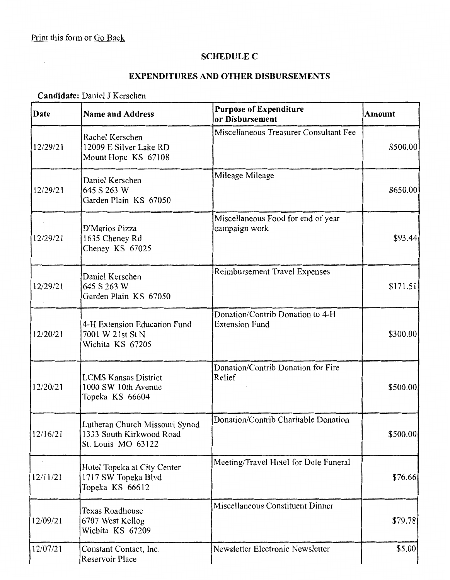#### **SCHEDULE C**

## **EXPENDITURES AND OTHER DISBURSEMENTS**

### **Candidate:** Daniel J Kerschen

| Date     | <b>Name and Address</b>                                                          | <b>Purpose of Expenditure</b><br>or Disbursement          | <b>Amount</b> |
|----------|----------------------------------------------------------------------------------|-----------------------------------------------------------|---------------|
| 12/29/21 | Rachel Kerschen<br>12009 E Silver Lake RD<br>Mount Hope KS 67108                 | Miscellaneous Treasurer Consultant Fee                    | \$500.00      |
| 12/29/21 | Daniel Kerschen<br>645 S 263 W<br>Garden Plain KS 67050                          | Mileage Mileage                                           | \$650.00      |
| 12/29/21 | D'Marios Pizza<br>1635 Cheney Rd<br>Cheney KS 67025                              | Miscellaneous Food for end of year<br>campaign work       | \$93.44]      |
| 12/29/21 | Daniel Kerschen<br>645 S 263 W<br>Garden Plain KS 67050                          | Reimbursement Travel Expenses                             | \$171.51      |
| 12/20/21 | 4-H Extension Education Fund<br>7001 W 21st St N<br>Wichita KS 67205             | Donation/Contrib Donation to 4-H<br><b>Extension Fund</b> | \$300.00      |
| 12/20/21 | <b>LCMS Kansas District</b><br>1000 SW 10th Avenue<br>Topeka KS 66604            | Donation/Contrib Donation for Fire<br>Relief              | \$500.00      |
| 12/16/21 | Lutheran Church Missouri Synod<br>1333 South Kirkwood Road<br>St. Louis MO 63122 | Donation/Contrib Charitable Donation                      | \$500.00      |
| 12/11/21 | Hotel Topeka at City Center<br>1717 SW Topeka Blvd<br>Topeka KS 66612            | Meeting/Travel Hotel for Dole Funeral                     | \$76.66       |
| 12/09/21 | <b>Texas Roadhouse</b><br>6707 West Kellog<br>Wichita KS 67209                   | Miscellaneous Constituent Dinner                          | \$79.78       |
| 12/07/21 | Constant Contact, Inc.<br>Reservoir Place                                        | Newsletter Electronic Newsletter                          | \$5.00        |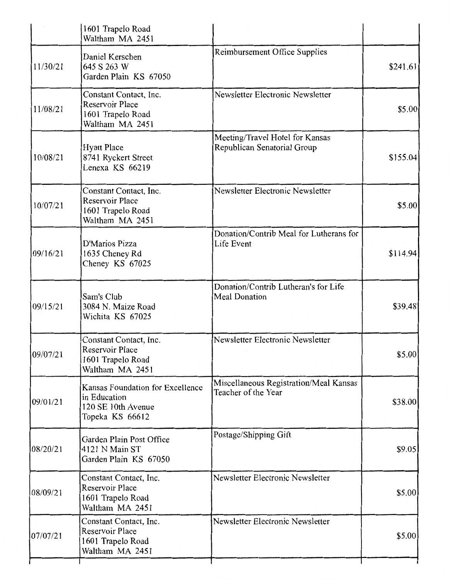|          | 1601 Trapelo Road<br>Waltham MA 2451                                                      |                                                                |          |
|----------|-------------------------------------------------------------------------------------------|----------------------------------------------------------------|----------|
| 11/30/21 | Daniel Kerschen<br>645 S 263 W<br>Garden Plain KS 67050                                   | <b>Reimbursement Office Supplies</b>                           | \$241.61 |
| 11/08/21 | Constant Contact, Inc.<br>Reservoir Place<br>1601 Trapelo Road<br>Waltham MA 2451         | Newsletter Electronic Newsletter                               | \$5.00   |
| 10/08/21 | <b>Hyatt Place</b><br>8741 Ryckert Street<br>Lenexa KS 66219                              | Meeting/Travel Hotel for Kansas<br>Republican Senatorial Group | \$155.04 |
| 10/07/21 | Constant Contact, Inc.<br>Reservoir Place<br>1601 Trapelo Road<br>Waltham MA 2451         | Newsletter Electronic Newsletter                               | \$5.00   |
| 09/16/21 | D'Marios Pizza<br>1635 Cheney Rd<br>Cheney KS 67025                                       | Donation/Contrib Meal for Lutherans for<br>Life Event          | \$114.94 |
| 09/15/21 | Sam's Club<br>3084 N. Maize Road<br>Wichita KS 67025                                      | Donation/Contrib Lutheran's for Life<br><b>Meal Donation</b>   | \$39.48  |
| 09/07/21 | Constant Contact, Inc.<br>Reservoir Place<br>1601 Trapelo Road<br>Waltham MA 2451         | Newsletter Electronic Newsletter                               | \$5.00   |
| 09/01/21 | Kansas Foundation for Excellence<br>in Education<br>120 SE 10th Avenue<br>Topeka KS 66612 | Miscellaneous Registration/Meal Kansas<br>Teacher of the Year  | \$38.00  |
| 08/20/21 | Garden Plain Post Office<br>4121 N Main ST<br>Garden Plain KS 67050                       | Postage/Shipping Gift                                          | \$9.05   |
| 08/09/21 | Constant Contact, Inc.<br>Reservoir Place<br>1601 Trapelo Road<br>Waltham MA 2451         | Newsletter Electronic Newsletter                               | \$5.00   |
| 07/07/21 | Constant Contact, Inc.<br>Reservoir Place<br>1601 Trapelo Road<br>Waltham MA 2451         | Newsletter Electronic Newsletter                               | \$5.00   |
|          |                                                                                           |                                                                |          |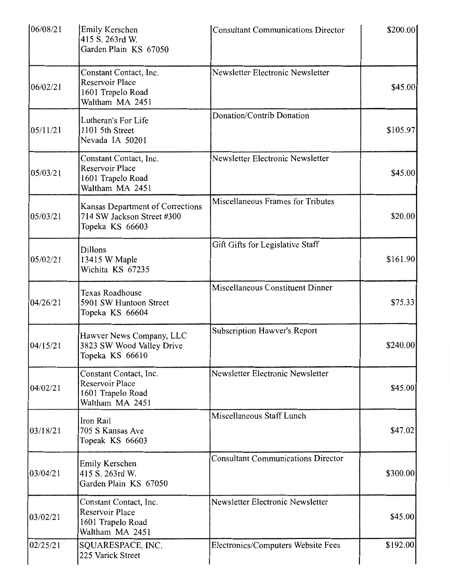| 06/08/21 | Emily Kerschen<br>415 S. 263rd W.<br>Garden Plain KS 67050                               | <b>Consultant Communications Director</b> | \$200.00  |
|----------|------------------------------------------------------------------------------------------|-------------------------------------------|-----------|
| 06/02/21 | Constant Contact, Inc.<br>Reservoir Place<br>1601 Trapelo Road<br>Waltham MA 2451        | Newsletter Electronic Newsletter          | \$45.00   |
| 05/11/21 | Lutheran's For Life<br>1101 5th Street<br>Nevada IA 50201                                | Donation/Contrib Donation                 | \$105.97  |
| 05/03/21 | Constant Contact, Inc.<br><b>Reservoir Place</b><br>1601 Trapelo Road<br>Waltham MA 2451 | Newsletter Electronic Newsletter          | \$45.00   |
| 05/03/21 | Kansas Department of Corrections<br>714 SW Jackson Street #300<br>Topeka KS 66603        | Miscellaneous Frames for Tributes         | \$20.00   |
| 05/02/21 | <b>Dillons</b><br>13415 W Maple<br>Wichita KS 67235                                      | Gift Gifts for Legislative Staff          | \$161.90  |
| 04/26/21 | <b>Texas Roadhouse</b><br>5901 SW Huntoon Street<br>Topeka KS 66604                      | <b>Miscellaneous Constituent Dinner</b>   | \$75.33   |
| 04/15/21 | Hawver News Company, LLC<br>3823 SW Wood Valley Drive<br>Topeka KS 66610                 | <b>Subscription Hawver's Report</b>       | \$240.00] |
| 04/02/21 | Constant Contact, Inc.<br>Reservoir Place<br>1601 Trapelo Road<br>Waltham MA 2451        | Newsletter Electronic Newsletter          | \$45.00   |
| 03/18/21 | Iron Rail<br>705 S Kansas Ave<br>Topeak KS 66603                                         | Miscellaneous Staff Lunch                 | \$47.02   |
| 03/04/21 | Emily Kerschen<br>415 S. 263rd W.<br>Garden Plain KS 67050                               | <b>Consultant Communications Director</b> | \$300.00  |
| 03/02/21 | Constant Contact, Inc.<br><b>Reservoir Place</b><br>1601 Trapelo Road<br>Waltham MA 2451 | Newsletter Electronic Newsletter          | \$45.00   |
| 02/25/21 | SQUARESPACE, INC.<br>225 Varick Street                                                   | Electronics/Computers Website Fees        | \$192.00  |